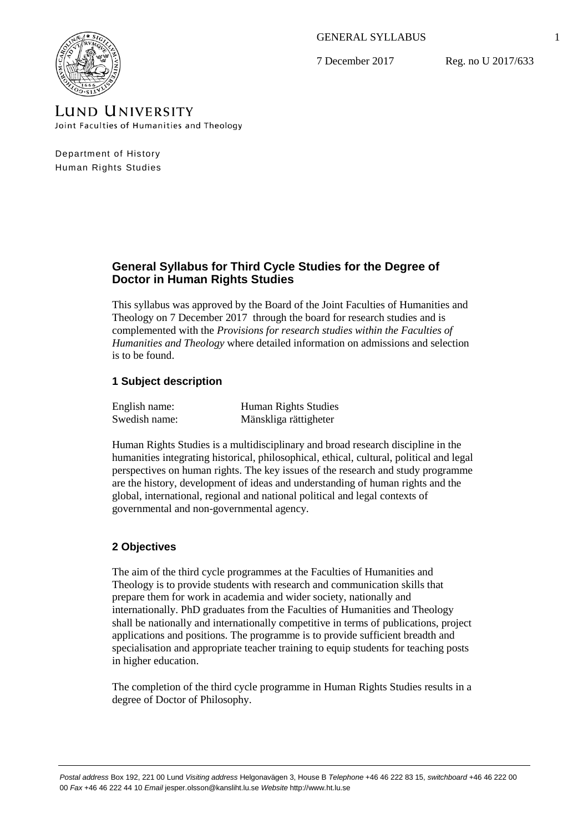GENERAL SYLLABUS

7 December 2017

Reg. no U 2017/633



LUND UNIVERSITY Joint Faculties of Humanities and Theology

Department of History Human Rights Studies

# **General Syllabus for Third Cycle Studies for the Degree of Doctor in Human Rights Studies**

This syllabus was approved by the Board of the Joint Faculties of Humanities and Theology on 7 December 2017 through the board for research studies and is complemented with the *Provisions for research studies within the Faculties of Humanities and Theology* where detailed information on admissions and selection is to be found.

# **1 Subject description**

| English name: | <b>Human Rights Studies</b> |
|---------------|-----------------------------|
| Swedish name: | Mänskliga rättigheter       |

Human Rights Studies is a multidisciplinary and broad research discipline in the humanities integrating historical, philosophical, ethical, cultural, political and legal perspectives on human rights. The key issues of the research and study programme are the history, development of ideas and understanding of human rights and the global, international, regional and national political and legal contexts of governmental and non-governmental agency.

# **2 Objectives**

The aim of the third cycle programmes at the Faculties of Humanities and Theology is to provide students with research and communication skills that prepare them for work in academia and wider society, nationally and internationally. PhD graduates from the Faculties of Humanities and Theology shall be nationally and internationally competitive in terms of publications, project applications and positions. The programme is to provide sufficient breadth and specialisation and appropriate teacher training to equip students for teaching posts in higher education.

The completion of the third cycle programme in Human Rights Studies results in a degree of Doctor of Philosophy.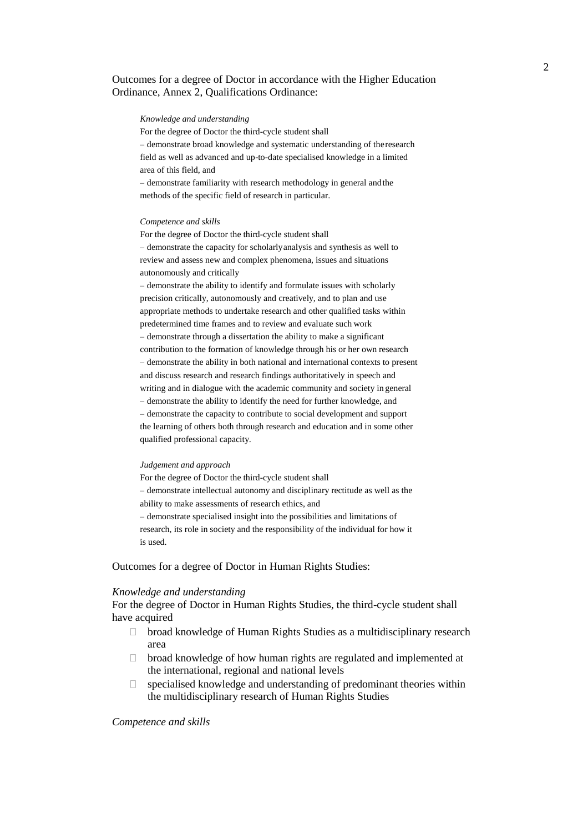## Outcomes for a degree of Doctor in accordance with the Higher Education Ordinance, Annex 2, Qualifications Ordinance:

#### *Knowledge and understanding*

For the degree of Doctor the third-cycle student shall

– demonstrate broad knowledge and systematic understanding of theresearch field as well as advanced and up-to-date specialised knowledge in a limited area of this field, and

– demonstrate familiarity with research methodology in general andthe methods of the specific field of research in particular.

#### *Competence and skills*

For the degree of Doctor the third-cycle student shall – demonstrate the capacity for scholarlyanalysis and synthesis as well to review and assess new and complex phenomena, issues and situations autonomously and critically

– demonstrate the ability to identify and formulate issues with scholarly precision critically, autonomously and creatively, and to plan and use appropriate methods to undertake research and other qualified tasks within predetermined time frames and to review and evaluate such work – demonstrate through a dissertation the ability to make a significant contribution to the formation of knowledge through his or her own research – demonstrate the ability in both national and international contexts to present and discuss research and research findings authoritatively in speech and writing and in dialogue with the academic community and society in general – demonstrate the ability to identify the need for further knowledge, and – demonstrate the capacity to contribute to social development and support the learning of others both through research and education and in some other qualified professional capacity.

#### *Judgement and approach*

For the degree of Doctor the third-cycle student shall

– demonstrate intellectual autonomy and disciplinary rectitude as well as the ability to make assessments of research ethics, and

– demonstrate specialised insight into the possibilities and limitations of research, its role in society and the responsibility of the individual for how it is used.

Outcomes for a degree of Doctor in Human Rights Studies:

#### *Knowledge and understanding*

For the degree of Doctor in Human Rights Studies, the third-cycle student shall have acquired

- □ broad knowledge of Human Rights Studies as a multidisciplinary research area
- $\Box$  broad knowledge of how human rights are regulated and implemented at the international, regional and national levels
- $\Box$  specialised knowledge and understanding of predominant theories within the multidisciplinary research of Human Rights Studies

### *Competence and skills*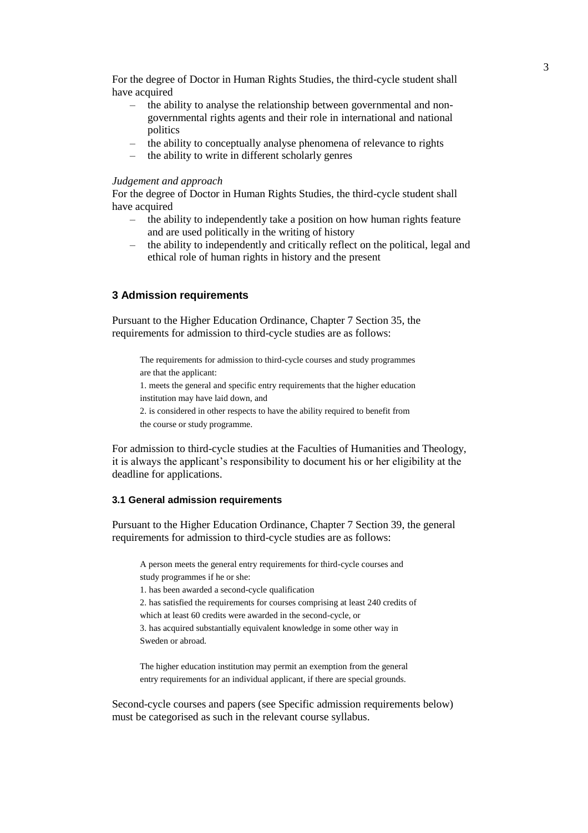For the degree of Doctor in Human Rights Studies, the third-cycle student shall have acquired

- the ability to analyse the relationship between governmental and nongovernmental rights agents and their role in international and national politics
- the ability to conceptually analyse phenomena of relevance to rights
- the ability to write in different scholarly genres

### *Judgement and approach*

For the degree of Doctor in Human Rights Studies, the third-cycle student shall have acquired

- the ability to independently take a position on how human rights feature and are used politically in the writing of history
- the ability to independently and critically reflect on the political, legal and ethical role of human rights in history and the present

# **3 Admission requirements**

Pursuant to the Higher Education Ordinance, Chapter 7 Section 35, the requirements for admission to third-cycle studies are as follows:

The requirements for admission to third-cycle courses and study programmes are that the applicant:

1. meets the general and specific entry requirements that the higher education institution may have laid down, and

2. is considered in other respects to have the ability required to benefit from the course or study programme.

For admission to third-cycle studies at the Faculties of Humanities and Theology, it is always the applicant's responsibility to document his or her eligibility at the deadline for applications.

### **3.1 General admission requirements**

Pursuant to the Higher Education Ordinance, Chapter 7 Section 39, the general requirements for admission to third-cycle studies are as follows:

A person meets the general entry requirements for third-cycle courses and study programmes if he or she:

1. has been awarded a second-cycle qualification

2. has satisfied the requirements for courses comprising at least 240 credits of

which at least 60 credits were awarded in the second-cycle, or

3. has acquired substantially equivalent knowledge in some other way in Sweden or abroad.

The higher education institution may permit an exemption from the general entry requirements for an individual applicant, if there are special grounds.

Second-cycle courses and papers (see Specific admission requirements below) must be categorised as such in the relevant course syllabus.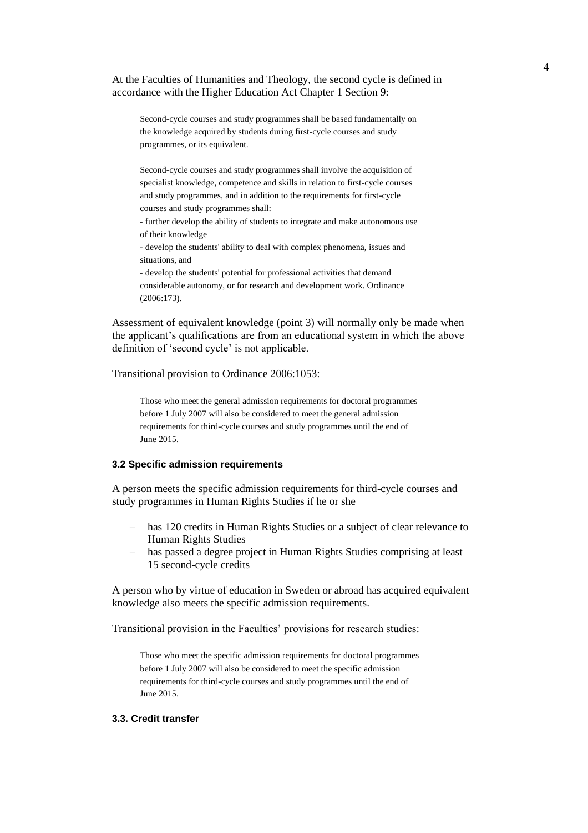At the Faculties of Humanities and Theology, the second cycle is defined in accordance with the Higher Education Act Chapter 1 Section 9:

Second-cycle courses and study programmes shall be based fundamentally on the knowledge acquired by students during first-cycle courses and study programmes, or its equivalent.

Second-cycle courses and study programmes shall involve the acquisition of specialist knowledge, competence and skills in relation to first-cycle courses and study programmes, and in addition to the requirements for first-cycle courses and study programmes shall:

- further develop the ability of students to integrate and make autonomous use of their knowledge

- develop the students' ability to deal with complex phenomena, issues and situations, and

- develop the students' potential for professional activities that demand considerable autonomy, or for research and development work. Ordinance (2006:173).

Assessment of equivalent knowledge (point 3) will normally only be made when the applicant's qualifications are from an educational system in which the above definition of 'second cycle' is not applicable.

Transitional provision to Ordinance 2006:1053:

Those who meet the general admission requirements for doctoral programmes before 1 July 2007 will also be considered to meet the general admission requirements for third-cycle courses and study programmes until the end of June 2015.

### **3.2 Specific admission requirements**

A person meets the specific admission requirements for third-cycle courses and study programmes in Human Rights Studies if he or she

- has 120 credits in Human Rights Studies or a subject of clear relevance to Human Rights Studies
- has passed a degree project in Human Rights Studies comprising at least 15 second-cycle credits

A person who by virtue of education in Sweden or abroad has acquired equivalent knowledge also meets the specific admission requirements.

Transitional provision in the Faculties' provisions for research studies:

Those who meet the specific admission requirements for doctoral programmes before 1 July 2007 will also be considered to meet the specific admission requirements for third-cycle courses and study programmes until the end of June 2015.

#### **3.3. Credit transfer**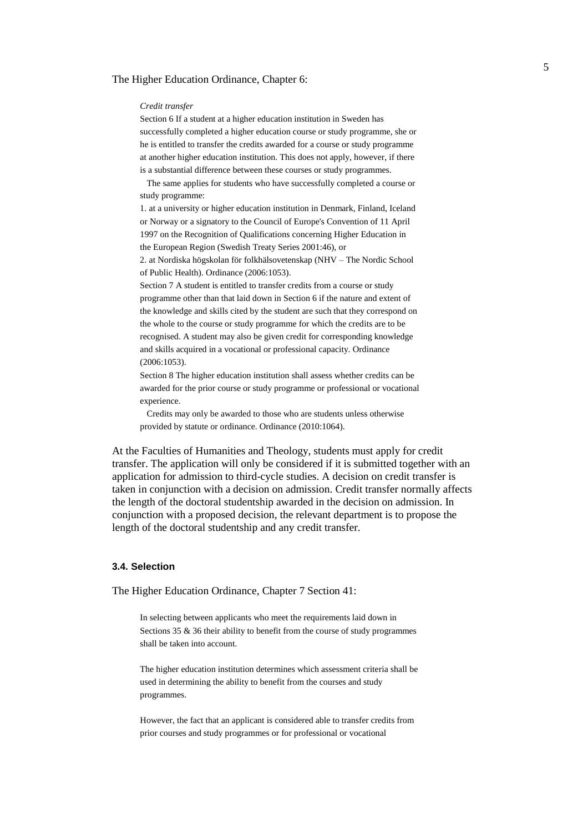#### The Higher Education Ordinance, Chapter 6:

#### *Credit transfer*

Section 6 If a student at a higher education institution in Sweden has successfully completed a higher education course or study programme, she or he is entitled to transfer the credits awarded for a course or study programme at another higher education institution. This does not apply, however, if there is a substantial difference between these courses or study programmes.

The same applies for students who have successfully completed a course or study programme:

1. at a university or higher education institution in Denmark, Finland, Iceland or Norway or a signatory to the Council of Europe's Convention of 11 April 1997 on the Recognition of Qualifications concerning Higher Education in the European Region (Swedish Treaty Series 2001:46), or

2. at Nordiska högskolan för folkhälsovetenskap (NHV – The Nordic School of Public Health). Ordinance (2006:1053).

Section 7 A student is entitled to transfer credits from a course or study programme other than that laid down in Section 6 if the nature and extent of the knowledge and skills cited by the student are such that they correspond on the whole to the course or study programme for which the credits are to be recognised. A student may also be given credit for corresponding knowledge and skills acquired in a vocational or professional capacity. Ordinance (2006:1053).

Section 8 The higher education institution shall assess whether credits can be awarded for the prior course or study programme or professional or vocational experience.

Credits may only be awarded to those who are students unless otherwise provided by statute or ordinance. Ordinance (2010:1064).

At the Faculties of Humanities and Theology, students must apply for credit transfer. The application will only be considered if it is submitted together with an application for admission to third-cycle studies. A decision on credit transfer is taken in conjunction with a decision on admission. Credit transfer normally affects the length of the doctoral studentship awarded in the decision on admission. In conjunction with a proposed decision, the relevant department is to propose the length of the doctoral studentship and any credit transfer.

#### **3.4. Selection**

The Higher Education Ordinance, Chapter 7 Section 41:

In selecting between applicants who meet the requirements laid down in Sections 35 & 36 their ability to benefit from the course of study programmes shall be taken into account.

The higher education institution determines which assessment criteria shall be used in determining the ability to benefit from the courses and study programmes.

However, the fact that an applicant is considered able to transfer credits from prior courses and study programmes or for professional or vocational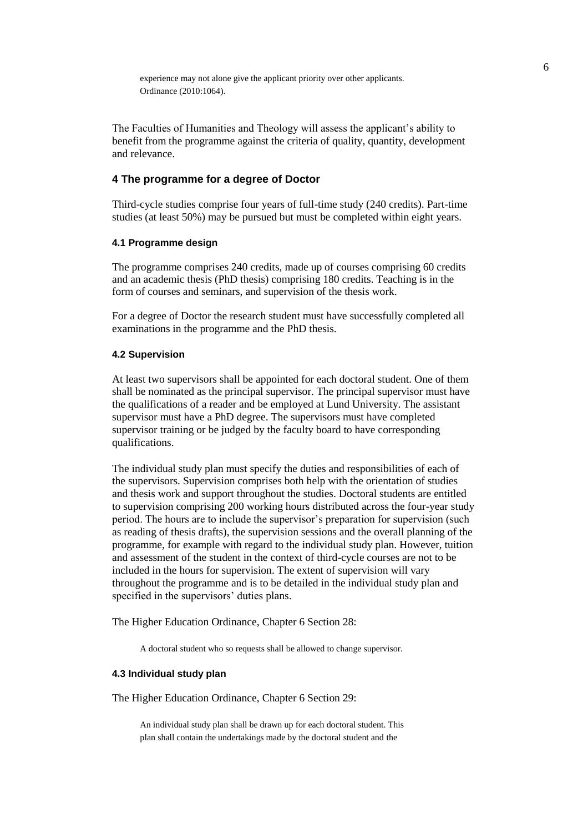experience may not alone give the applicant priority over other applicants. Ordinance (2010:1064).

The Faculties of Humanities and Theology will assess the applicant's ability to benefit from the programme against the criteria of quality, quantity, development and relevance.

# **4 The programme for a degree of Doctor**

Third-cycle studies comprise four years of full-time study (240 credits). Part-time studies (at least 50%) may be pursued but must be completed within eight years.

# **4.1 Programme design**

The programme comprises 240 credits, made up of courses comprising 60 credits and an academic thesis (PhD thesis) comprising 180 credits. Teaching is in the form of courses and seminars, and supervision of the thesis work.

For a degree of Doctor the research student must have successfully completed all examinations in the programme and the PhD thesis.

#### **4.2 Supervision**

At least two supervisors shall be appointed for each doctoral student. One of them shall be nominated as the principal supervisor. The principal supervisor must have the qualifications of a reader and be employed at Lund University. The assistant supervisor must have a PhD degree. The supervisors must have completed supervisor training or be judged by the faculty board to have corresponding qualifications.

The individual study plan must specify the duties and responsibilities of each of the supervisors. Supervision comprises both help with the orientation of studies and thesis work and support throughout the studies. Doctoral students are entitled to supervision comprising 200 working hours distributed across the four-year study period. The hours are to include the supervisor's preparation for supervision (such as reading of thesis drafts), the supervision sessions and the overall planning of the programme, for example with regard to the individual study plan. However, tuition and assessment of the student in the context of third-cycle courses are not to be included in the hours for supervision. The extent of supervision will vary throughout the programme and is to be detailed in the individual study plan and specified in the supervisors' duties plans.

The Higher Education Ordinance, Chapter 6 Section 28:

A doctoral student who so requests shall be allowed to change supervisor.

## **4.3 Individual study plan**

The Higher Education Ordinance, Chapter 6 Section 29:

An individual study plan shall be drawn up for each doctoral student. This plan shall contain the undertakings made by the doctoral student and the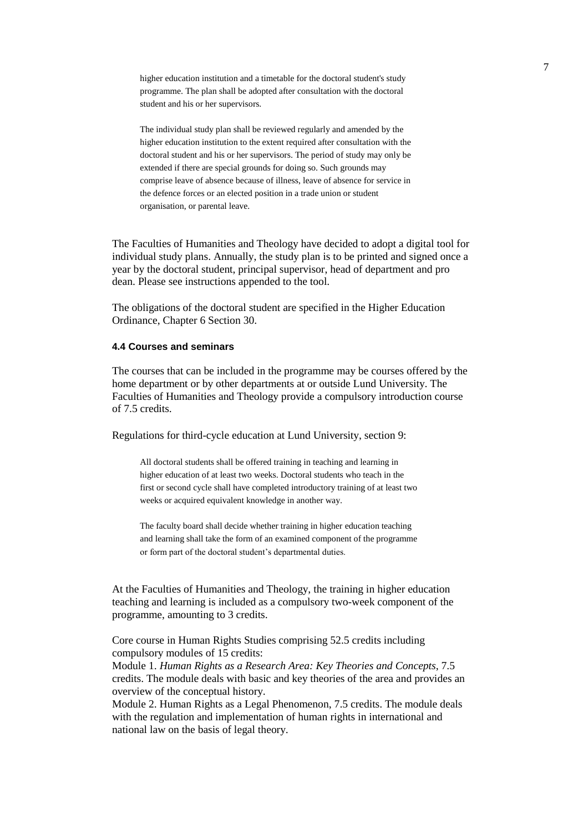higher education institution and a timetable for the doctoral student's study programme. The plan shall be adopted after consultation with the doctoral student and his or her supervisors.

The individual study plan shall be reviewed regularly and amended by the higher education institution to the extent required after consultation with the doctoral student and his or her supervisors. The period of study may only be extended if there are special grounds for doing so. Such grounds may comprise leave of absence because of illness, leave of absence for service in the defence forces or an elected position in a trade union or student organisation, or parental leave.

The Faculties of Humanities and Theology have decided to adopt a digital tool for individual study plans. Annually, the study plan is to be printed and signed once a year by the doctoral student, principal supervisor, head of department and pro dean. Please see instructions appended to the tool.

The obligations of the doctoral student are specified in the Higher Education Ordinance, Chapter 6 Section 30.

### **4.4 Courses and seminars**

The courses that can be included in the programme may be courses offered by the home department or by other departments at or outside Lund University. The Faculties of Humanities and Theology provide a compulsory introduction course of 7.5 credits.

Regulations for third-cycle education at Lund University, section 9:

All doctoral students shall be offered training in teaching and learning in higher education of at least two weeks. Doctoral students who teach in the first or second cycle shall have completed introductory training of at least two weeks or acquired equivalent knowledge in another way.

The faculty board shall decide whether training in higher education teaching and learning shall take the form of an examined component of the programme or form part of the doctoral student's departmental duties.

At the Faculties of Humanities and Theology, the training in higher education teaching and learning is included as a compulsory two-week component of the programme, amounting to 3 credits.

Core course in Human Rights Studies comprising 52.5 credits including compulsory modules of 15 credits:

Module 1. *Human Rights as a Research Area: Key Theories and Concepts*, 7.5 credits. The module deals with basic and key theories of the area and provides an overview of the conceptual history.

Module 2. Human Rights as a Legal Phenomenon, 7.5 credits. The module deals with the regulation and implementation of human rights in international and national law on the basis of legal theory.